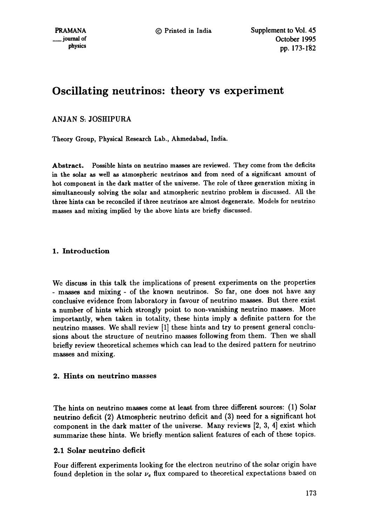# **Oscillating neutrinos: theory vs experiment**

# ANJAN S: JOSHIPURA

Theory Group, Physical Research Lab., Ahmedabad, India.

Abstract. Possible hints on neutrino masses are reviewed. They come from the deficits in the solar as well as atmospheric neutrinos and from need of a significant amount of hot component in the dark matter of the universe. The role of three generation mixing in simultaneously solving the solar and atmospheric neutrino problem is discussed. All the three hints can be reconciled if three neutrinos are almost degenerate. Models for neutrino masses and mixing implied by the above hints are briefly discussed.

# 1. Introduction

We discuss in this talk the implications of present experiments on the properties - masses and mixing - of the known neutrinos. So far, one does not have any conclusive evidence from laboratory in favour of neutrino masses. But there exist a number of hints which strongly point to non-vanishing neutrino masses. More importantly, when taken in totality, these hints imply a definite pattern for the neutrino masses. We shall review [1] these hints and try to present general conclusions about the structure of neutrino masses following from them. Then we shall briefly review theoretical schemes which can lead to the desired pattern for neutrino masses and mixing.

## **2. Hints on neutrino masses**

The hints on neutrino masses come at least from three different sources: (1) Solar neutrino deficit (2) Atmospheric neutrino deficit and (3) need for a significant hot component in the dark matter of the universe. Many reviews [2, 3, 4] exist which summarize these hints. We briefly mention salient features of each of these topics.

# 2.1 Solar neutrino deficit

Four different experiments looking for the electron neutrino of the solar origin have found depletion in the solar  $\nu_e$  flux compared to theoretical expectations based on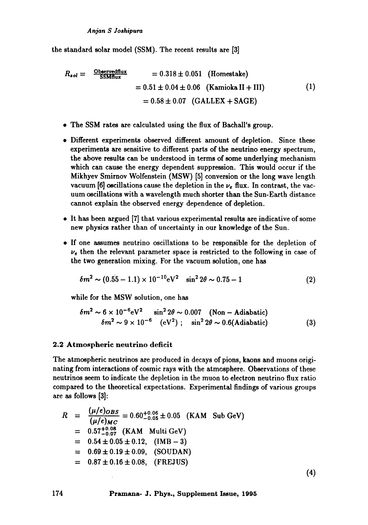the standard solar model (SSM). The recent results are [3]

$$
R_{sol} = \frac{\text{Observedflux}}{\text{SSMflux}} = 0.318 \pm 0.051 \quad (\text{Homstate})
$$
  
= 0.51 \pm 0.04 \pm 0.06 \quad (\text{Kamioka II} + \text{III}) \qquad (1)  
= 0.58 \pm 0.07 \quad (\text{GALLEX} + \text{SAGE})

- The SSM rates are calculated using the flux of Bachall's group.
- Different experiments observed different amount of depletion. Since these experiments are sensitive to different parts of the neutrino energy spectrum, the above results can be understood in terms of some underlying mechanism which can cause the energy dependent suppression. This would occur if the Mikhyev Smirnov Wolfenstein (MSW) [5] conversion or the long wave length vacuum [6] oscillations cause the depletion in the  $\nu_e$  flux. In contrast, the vacuum oscillations with a wavelength much shorter than the Sun-Earth distance cannot explain the observed energy dependence of depletion.
- It has been argued [7] that various experimental results are indicative of some new physics rather than of uncertainty in our knowledge of the Sun.
- If one assumes neutrino oscillations to be responsible for the depletion of  $\nu_e$  then the relevant parameter space is restricted to the following in case of the two generation mixing. For the vacuum solution, one has

$$
\delta m^2 \sim (0.55 - 1.1) \times 10^{-10} \, \text{eV}^2 \quad \sin^2 2\theta \sim 0.75 - 1 \tag{2}
$$

while for the MSW solution, one has

$$
\delta m^2 \sim 6 \times 10^{-6} \text{eV}^2 \quad \sin^2 2\theta \sim 0.007 \quad \text{(Non-Adiabatic)}
$$
\n
$$
\delta m^2 \sim 9 \times 10^{-6} \quad \text{(eV}^2) \; ; \quad \sin^2 2\theta \sim 0.6 \text{(Adiabatic)} \tag{3}
$$

#### 2.2 Atmospheric neutrino deficit

The atmospheric neutrinos are produced in decays of pions, kaons and muons originating from interactions of cosmic rays with the atmosphere. Observations of these neutrinos seem to indicate the depletion in the muon to electron neutrino flux ratio compared to the theoretical expectations. Experimental findings of various groups are as follows [3]:

$$
R = \frac{(\mu/e)_{OBS}}{(\mu/e)_{MC}} = 0.60^{+0.06}_{-0.05} \pm 0.05 \quad \text{(KAM Sub GeV)}
$$
  
= 0.57^{+0.08}\_{-0.07} \quad \text{(KAM Multi GeV)}  
= 0.54 \pm 0.05 \pm 0.12, \quad \text{(IMB - 3)}  
= 0.69 \pm 0.19 \pm 0.09, \quad \text{(SOUDAN)}  
= 0.87 \pm 0.16 \pm 0.08, \quad \text{(FREJUS)} \tag{4}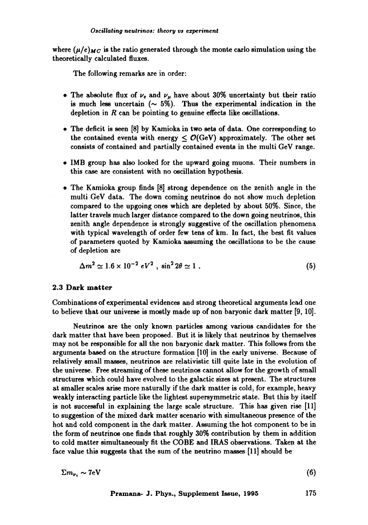where  $(\mu/e)_{MC}$  is the ratio generated through the monte carlo simulation using the theoretically calculated fluxes.

The following remarks are in order:

- The absolute flux of  $\nu_e$  and  $\nu_\mu$  have about 30% uncertainty but their ratio is much less uncertain  $($   $\sim$  5%). Thus the experimental indication in the depletion in  $R$  can be pointing to genuine effects like oscillations.
- The deficit is seen [8] by Kamioka in two sets of data. One corresponding to the contained events with energy  $< O(GeV)$  approximately. The other set consists of contained and partially contained events in the multi GeV range.
- IMB group has also looked for the upward going muons. Their numbers in this case are consistent with no oscillation hypothesis.
- The Kamioka group finds [8] strong dependence on the zenith angle in the multi GeV data. The down coming neutrinos do not show much depletion compared to the upgoing ones which are depleted by about 50%. Since, the latter travels much larger distance compared to the down going neutrinos, this zenith angle dependence is strongly suggestive of the oscillation phenomena with typical wavelength of order few tens of km. In fact, the best fit values of parameters quoted by Kamioka assuming the oscillations to be the cause of depletion are

$$
\Delta m^2 \simeq 1.6 \times 10^{-2} \, eV^2 \,, \, \sin^2 2\theta \simeq 1 \,. \tag{5}
$$

### **2.3 Dark matter**

Combinations of experimental evidences and strong theoretical arguments lead one to believe that our universe is mostly made up of non baryonic dark matter [9, 10].

Neutrinos are the only known particles among various candidates for the dark matter that have been proposed. But it is likely that neutrinos by themselves may not be responsible for all the non baryonic dark matter. This follows from the arguments based on the structure formation [10] in the early universe. Because of relatively small masses, neutrinos are relativistic till quite late in the evolution of the universe. Free streaming of these neutrinos cannot allow for the growth of small structures which could have evolved to the galactic sizes at present. The structures at smaller scales arise more naturally if the dark matter is cold, for example, heavy weakly interacting particle like the lightest supersymmetric state. But this by itself is not successful in explaining the large scale structure. This has given rise [11] to suggestion of the mixed dark matter scenario with simultaneous presence of the hot and cold component in the dark matter. Assuming the hot component to be in the form of neutrinos one finds that roughly 30% contribution by them in addition to cold matter simultaneously fit the COBE and IRAS observations. Taken at the face value this suggests that the sum of the neutrino masses [11] should be

 $\sum m_{\nu_i} \sim 7 \text{eV}$  (6)

**Pramana- J. Phys., Supplement Issue, 1995** 175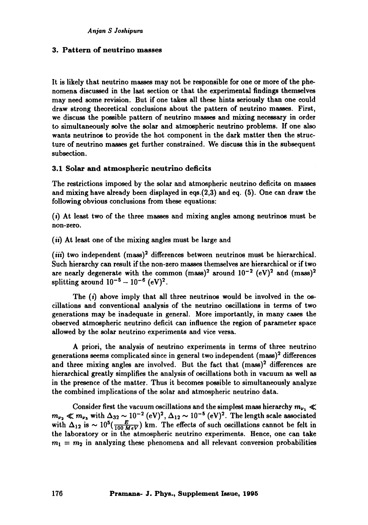## **3. Pattern of neutrino masses**

It is likely that neutrino masses may not be responsible for one or more of the phenomena discussed in the last section or that the experimental findings themselves may need some revision. But if one takes all these hints seriously than one could draw strong theoretical conclusions about the pattern of neutrino masses. First, we discuss the possible pattern of neutrino masses and mixing necessary in order to simultaneously solve the solar and atmospheric neutrino problems. If one also wants neutrinos to provide the hot component in the dark matter then the structure of neutrino masses get further constrained. We discuss this in the subsequent subsection.

### 3.1 Solar and atmospheric neutrino deficits

The restrictions imposed by the solar and atmospheric neutrino deficits on masses and mixing have already been displayed in eqs.(2,3) and eq. (5). One can draw the following obvious conclusions from these equations:

(i) At least two of the three masses and mixing angles among neutrinos must be non-zero.

*(ii)* At least one of the mixing angles must be large and

*(iii)* two independent (mass)<sup>2</sup> differences between neutrinos must be hierarchical. Such hierarchy can result if the non-zero masses themselves are hierarchical or if two are nearly degenerate with the common (mass)<sup>2</sup> around  $10^{-2}$  (eV)<sup>2</sup> and (mass)<sup>2</sup> splitting around  $10^{-5} - 10^{-6}$  (eV)<sup>2</sup>.

The  $(i)$  above imply that all three neutrinos would be involved in the oscillations and conventional analysis of the neutrino oscillations in terms of two generations may be inadequate in general. More importantly, in many cases the observed atmospheric neutrino deficit can influence the region of parameter space allowed by the solar neutrino experiments and vice versa.

A priori, the analysis of neutrino experiments in terms of three neutrino generations seems complicated since in general two independent  $(mass)^2$  differences and three mixing angles are involved. But the fact that (mass)<sup>2</sup> differences are hierarchical greatly simplifies the analysis of oscillations both in vacuum as well as in the presence of the matter. Thus it becomes possible to simultaneously analyze the combined implications of the solar and atmospheric neutrino data.

Consider first the vacuum oscillations and the simplest mass hierarchy  $m_{\nu_1} \ll$  $m_{\nu_2} \ll m_{\nu_3}$  with  $\Delta_{32} \sim 10^{-2}$  (eV)<sup>2</sup>,  $\Delta_{12} \sim 10^{-5}$  (eV)<sup>2</sup>. The length scale associated with  $\Delta_{12}$  is  $\sim 10^5(\frac{E}{100 \text{ HzV}})$  km. The effects of such oscillations cannot be felt in the laboratory or in the atmospheric neutrino experiments. Hence, one can take  $m_1 = m_2$  in analyzing these phenomena and all relevant conversion probabilities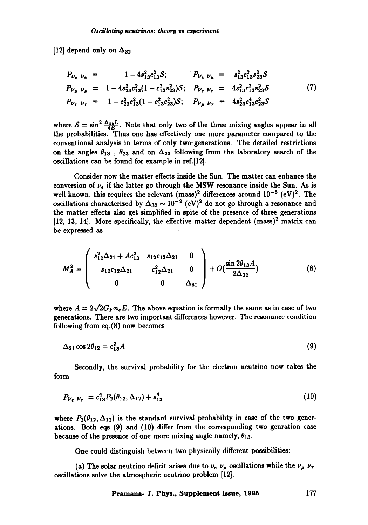[12] depend only on  $\Delta_{32}$ .

$$
P_{\nu_e} \nu_e = 1 - 4s_{13}^2 c_{13}^2 S; \qquad P_{\nu_e} \nu_{\mu} = s_{13}^2 c_{13}^2 s_{23}^2 S
$$
  
\n
$$
P_{\nu_{\mu}} \nu_{\mu} = 1 - 4s_{23}^2 c_{13}^2 (1 - c_{13}^2 s_{23}^2) S; \qquad P_{\nu_e} \nu_{\tau} = 4s_{13}^2 c_{13}^2 s_{23}^2 S
$$
  
\n
$$
P_{\nu_{\tau}} \nu_{\tau} = 1 - c_{23}^2 c_{13}^2 (1 - c_{13}^2 c_{23}^2) S; \qquad P_{\nu_{\mu}} \nu_{\tau} = 4s_{23}^2 c_{13}^4 c_{23}^2 S
$$
  
\n(7)

where  $S = \sin^2 \frac{\Delta_{21} L}{4E}$ . Note that only two of the three mixing angles appear in all the probabilities. Thus one has effectively one more parameter compared to the conventional analysis in terms of only two generations. The detailed restrictions on the angles  $\theta_{13}$ ,  $\theta_{23}$  and on  $\Delta_{23}$  following from the laboratory search of the oscillations can be found for example in ref.[12].

Consider now the matter effects inside the Sun. The matter can enhance the conversion of  $\nu_e$  if the latter go through the MSW resonance inside the Sun. As is well known, this requires the relevant (mass)<sup>2</sup> differences around  $10^{-5}$  (eV)<sup>2</sup>. The oscillations characterized by  $\Delta_{32} \sim 10^{-2}$  (eV)<sup>2</sup> do not go through a resonance and the matter effects also get simplified in spite of the presence of three generations  $[12, 13, 14]$ . More specifically, the effective matter dependent  $(mass)^2$  matrix can be expressed as

$$
M_A^2 = \begin{pmatrix} s_{12}^2 \Delta_{21} + Ac_{13}^2 & s_{12}c_{12}\Delta_{21} & 0 \\ s_{12}c_{12}\Delta_{21} & c_{12}^2 \Delta_{21} & 0 \\ 0 & 0 & \Delta_{31} \end{pmatrix} + O(\frac{\sin 2\theta_{13}A}{2\Delta_{32}})
$$
(8)

where  $A = 2\sqrt{2}G_F n_e E$ . The above equation is formally the same as in case of two generations. There are two important differences however. The resonance condition following from eq.(8) now becomes

$$
\Delta_{21}\cos 2\theta_{12}=c_{13}^2A\tag{9}
$$

Secondly, the survival probability for the electron neutrino now takes the form

$$
P_{\nu_e \ \nu_e} = c_{13}^4 P_2(\theta_{12}, \Delta_{12}) + s_{13}^4 \tag{10}
$$

where  $P_2(\theta_{12}, \Delta_{12})$  is the standard survival probability in case of the two generations. Both eqs (9) and (10) differ from the corresponding two genration case because of the presence of one more mixing angle namely,  $\theta_{13}$ .

One could distinguish between two physically different possibilities:

(a) The solar neutrino deficit arises due to  $\nu_e$   $\nu_\mu$  oscillations while the  $\nu_\mu$   $\nu_\tau$ oscillations solve the atmospheric neutrino problem [12].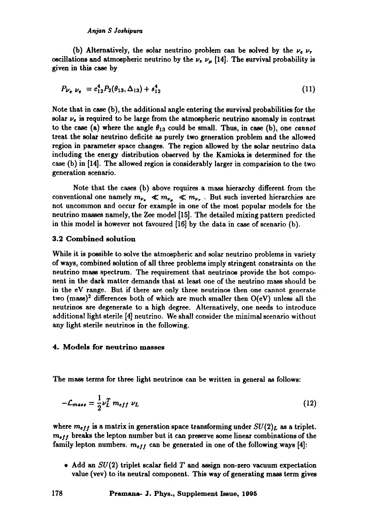#### *An.ion S Joshipuru*

(b) Alternatively, the solar neutrino problem can be solved by the  $\nu_e$   $\nu_\tau$ oscillations and atmospheric neutrino by the  $\nu_e$   $\nu_\mu$  [14]. The survival probability is given in this case by

$$
P_{\nu_e \ \nu_e} = c_{12}^4 P_2(\theta_{13}, \Delta_{13}) + s_{12}^4 \tag{11}
$$

Note that in case (b), the additional angle entering the survival probabilities for the solar  $\nu_e$  is required to be large from the atmospheric neutrino anomaly in contrast to the case (a) where the angle  $\theta_{13}$  could be small. Thus, in case (b), one *cannot* treat the solar neutrino deficite as purely two generation problem and the allowed region in parameter space changes. The region allowed by the solar neutrino data including the energy distribution observed by the Kamioka is determined for the case (b) in [14]. The allowed region is considerably larger in comparision to the two generation scenario.

Note that the cases (b) above requires a mass hierarchy different from the conventional one namely  $m_{\nu_e} \ll m_{\nu_\mu} \ll m_{\nu_\tau}$ . But such inverted hierarchies are not uncommon and occur for example in one of the most popular models for the neutrino masses namely, the Zee model [15]. The detailed mixing pattern predicted in this model is however not favoured [16] by the data in case of scenario (b).

#### 3.2 Combined solution

While it is possible to solve the atmospheric and solar neutrino problems in variety of ways, combined solution of all three problems imply stringent constraints on the neutrino mass spectrum. The requirement that neutrinos provide the hot component in the dark matter demands that at least one of the neutrino mass should be in the eV range. But if there are only three neutrinos then one cannot generate two (mass)<sup>2</sup> differences both of which are much smaller then  $O(eV)$  unless all the neutrinos are degenerate to a high degree. Alternatively, one needs to introduce additional light sterile [4] neutrino. We shall consider the minimal scenario without any light sterile neutrinos in the following.

## **4. Models for neutrino masses**

The mass terms for three light neutrinos can be written in general as follows:

$$
-\mathcal{L}_{mass} = \frac{1}{2} \nu_L^T m_{eff} \ \nu_L \tag{12}
$$

where  $m_{eff}$  is a matrix in generation space transforming under  $SU(2)_L$  as a triplet. *me/!* breaks the lepton number but it can preserve some linear combinations of the family lepton numbers,  $m_{eff}$  can be generated in one of the following ways [4]:

• Add an  $SU(2)$  triplet scalar field T and assign non-zero vacuum expectation value (vev) to its neutral component. This way of generating mass term gives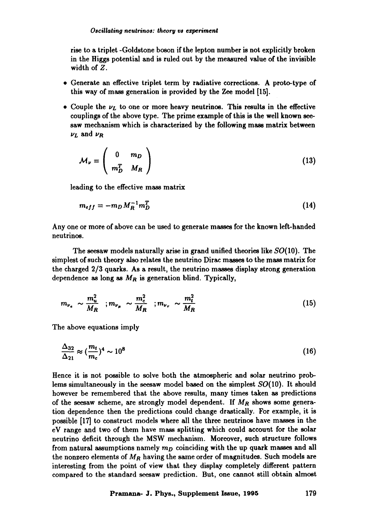rise to a triplet -Goldstone boson if the lepton number is not explicitly broken in the Higgs potential and is ruled out by the measured value of the invisible width of Z.

- 9 Generate an effective triplet term by radiative corrections. A proto-type of this way of mass generation is provided by the Zee model [15].
- Couple the  $\nu_L$  to one or more heavy neutrinos. This results in the effective couplings of the above type. The prime example of this is the well known seesaw mechanism which is characterized by the following mass matrix between  $\nu_L$  and  $\nu_R$

$$
\mathcal{M}_{\nu} = \left( \begin{array}{cc} 0 & m_D \\ m_D^T & M_R \end{array} \right) \tag{13}
$$

leading to the effective mass matrix

$$
m_{eff} = -m_D M_R^{-1} m_D^T \tag{14}
$$

Any one or more of above can be used to generate masses for the known left-handed neutrinos.

The seesaw models naturally arise in grand unified theories like  $SO(10)$ . The simplest of such theory also relates the neutrino Dirac masses to the mass matrix for the charged 2/3 quarks. As a result, the neutrino masses display strong generation dependence as long as  $M_R$  is generation blind. Typically,

$$
m_{\nu_e} \sim \frac{m_u^2}{M_R} \quad ; m_{\nu_\mu} \sim \frac{m_c^2}{M_R} \quad ; m_{\nu_\tau} \sim \frac{m_t^2}{M_R} \tag{15}
$$

The above equations imply

$$
\frac{\Delta_{32}}{\Delta_{21}} \approx (\frac{m_t}{m_c})^4 \sim 10^8 \tag{16}
$$

Hence it is not possible to solve both the atmospheric and solar neutrino problems simultaneously in the seesaw model based on the simplest  $SO(10)$ . It should however be remembered that the above results, many times taken as predictions of the seesaw scheme, are strongly model dependent. If  $M_R$  shows some generation dependence then the predictions could change drastically. For example, it is possible [17] to construct models where all the three neutrinos have masses in the eV range and two of them have mass splitting which could account for the solar neutrino deficit through the MSW mechanism. Moreover, such structure follows from natural assumptions namely  $m<sub>D</sub>$  coinciding with the up quark masses and all the nonzero elements of  $M_R$  having the same order of magnitudes. Such models are interesting from the point of view that they display completely different pattern compared to the standard seesaw prediction. But, one cannot still obtain almost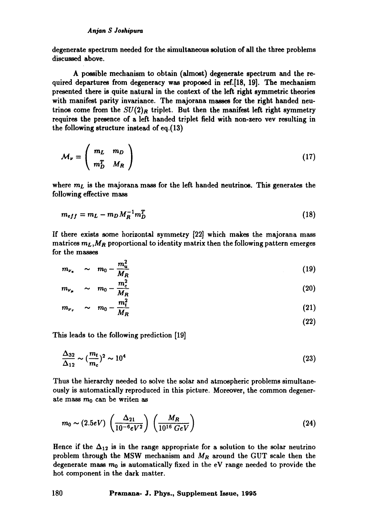degenerate spectrum needed for the simultaneous solution of all the three problems discussed above.

A possible mechanism to obtain (almost) degenerate spectrum and the required departures from degeneracy was proposed in ref.[18, 19]. The mechanism presented there is quite natural in the context of the left right symmetric theories with manifest parity invariance. The majorana masses for the right handed neutrinos come from the  $SU(2)_R$  triplet. But then the manifest left right symmetry requires the presence of a left handed triplet field with non-zero vev resulting in the following structure instead of eq. (13)

$$
M_{\nu} = \left(\begin{array}{cc} m_L & m_D \\ m_D^T & M_R \end{array}\right) \tag{17}
$$

where  $m<sub>L</sub>$  is the majorana mass for the left handed neutrinos. This generates the following effective mass

$$
m_{eff} = m_L - m_D M_R^{-1} m_D^T \tag{18}
$$

If there exists some horizontal symmetry [22] which makes the majorana mass matrices  $m_L, M_R$  proportional to identity matrix then the following pattern emerges for the masses

$$
m_{\nu_e} \sim m_0 - \frac{m_u^2}{M_R} \tag{19}
$$

$$
m_{\nu_{\mu}} \sim m_0 - \frac{m_c^2}{M_R} \tag{20}
$$

$$
m_{\nu_{\tau}} \sim m_0 - \frac{m_{\tau}^2}{M_R} \tag{21}
$$

$$
(22)
$$

This leads to the following prediction [19]

$$
\frac{\Delta_{32}}{\Delta_{12}} \sim (\frac{m_t}{m_c})^2 \sim 10^4 \tag{23}
$$

Thus the hierarchy needed to solve the solar and atmospheric problems simultaneously is automatically reproduced in this picture. Moreover, the common degenerate mass  $m_0$  can be writen as

$$
m_0 \sim (2.5 eV) \left(\frac{\Delta_{21}}{10^{-6} eV^2}\right) \left(\frac{M_R}{10^{16} GeV}\right)
$$
 (24)

Hence if the  $\Delta_{12}$  is in the range appropriate for a solution to the solar neutrino problem through the MSW mechanism and  $M_R$  around the GUT scale then the degenerate mass  $m_0$  is automatically fixed in the eV range needed to provide the hot component in the dark matter.

**180 Pramana- J. Phys., Supplement Issue, 1995**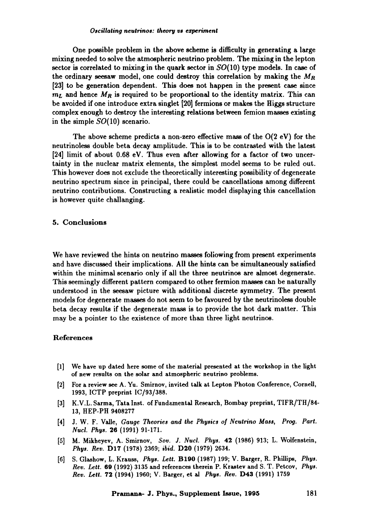One possible problem in the above scheme is difficulty in generating a large mixing needed to solve the atmospheric neutrino problem. The mixing in the lepton sector is correlated to mixing in the quark sector in  $SO(10)$  type models. In case of the ordinary seesaw model, one could destroy this correlation by making the  $M_R$ [23] to be generation dependent. This does not happen in the present case since  $m<sub>L</sub>$  and hence  $M<sub>R</sub>$  is required to be proportional to the identity matrix. This can be avoided if one introduce extra singlet [20] fermions or makes the Higgs structure complex enough to destroy the interesting relations between femion masses existing in the simple SO(10) scenario.

The above scheme predicts a non-zero effective mass of the  $O(2 \text{ eV})$  for the neutrinoless double beta decay amplitude. This is to be contrasted with the latest [24] limit of about 0.68 eV. Thus even after allowing for a factor of two uncertainty in the nuclear matrix elements, the simplest model seems to be ruled out. This however does not exclude the theoretically interesting possibility of degenerate neutrino spectrum since in principal, there could be cancellations among different neutrino contributions. Constructing a realistic model displaying this cancellation is however quite challanging.

## 5. Conclusions

We have reviewed the hints on neutrino masses following from present experiments and have discussed their implications. All the hints can be simultaneously satisfied within the minimal scenario only if all the three neutrinos are almost degenerate. This seemingly different pattern compared to other fermion masses can be naturally understood in the seesaw picture with additional discrete symmetry. The present models for degenerate masses do not seem to be favoured by the neutrinoless double beta decay results if the degenerate mass is to provide the hot dark matter. This may be a pointer to the existence of more than three light neutrinos.

#### References

- [1] We have up dated here some of the material presented at the workshop in the light of new results on the solar and atmospheric neutrino problems.
- [2] For a review see A. Yu. Smirnov, invited talk at Lepton Photon Conference, Cornell, 1993, ICTP preprint IC/93/388.
- [3] K.V.L. Sarma, Tata Inst. of Fundamental Research, Bombay preprint, TIFR/TH/84-13, HEP-PH 9408277
- [4] J.W.F. Valle, *Gauge Theories and the Physics of Neutrino Mass, Prog. Part. Nucl. Phys.* 26 (1991) 91-171.
- [5] M. Mikheyev, A. Smirnov, *Soy. J. Nucl. Phys.* 42 (1986) 913; L. Wolfenstein, *Phys. Rev.* D17 (1978) 2369; *ibid.* D20 (1979) 2634.
- [6] S. Glashow, L. Krauss, *Phys. Left.* B190 (1987) 199; V. Barger, R. Phillips, *Phys. Rev. Lett.* 69 (1992) 3135 and references therein P. Krastev and S. T. Petcov, *Phys. Rev. Lett. 72* (1994) 1960; V. Barger, et al *Phys. Rev.* D43 (1991) 1759